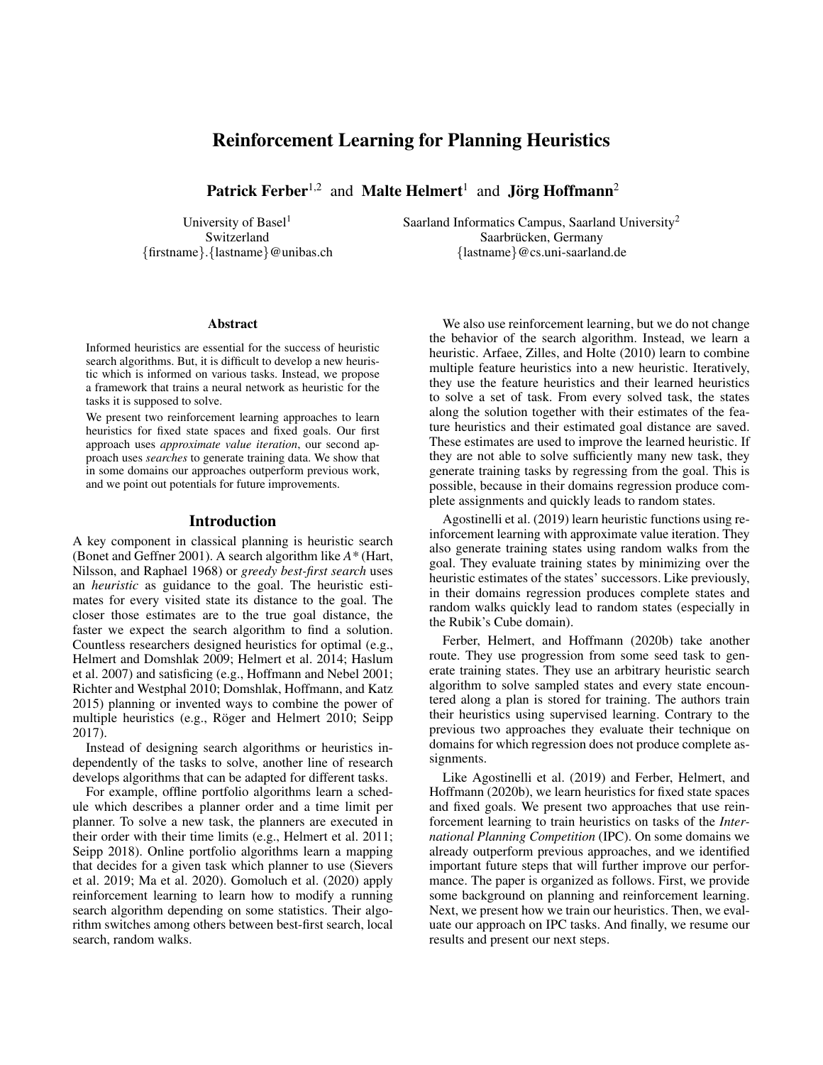# Reinforcement Learning for Planning Heuristics

Patrick Ferber<sup>1,2</sup> and Malte Helmert<sup>1</sup> and Jörg Hoffmann<sup>2</sup>

University of Basel<sup>1</sup> Saarland Informatics Campus, Saarland University<sup>2</sup>

Switzerland Saarbrücken, Germany {firstname}.{lastname}@unibas.ch {lastname}@cs.uni-saarland.de

### Abstract

Informed heuristics are essential for the success of heuristic search algorithms. But, it is difficult to develop a new heuristic which is informed on various tasks. Instead, we propose a framework that trains a neural network as heuristic for the tasks it is supposed to solve.

We present two reinforcement learning approaches to learn heuristics for fixed state spaces and fixed goals. Our first approach uses *approximate value iteration*, our second approach uses *searches* to generate training data. We show that in some domains our approaches outperform previous work, and we point out potentials for future improvements.

## Introduction

A key component in classical planning is heuristic search (Bonet and Geffner 2001). A search algorithm like *A\** (Hart, Nilsson, and Raphael 1968) or *greedy best-first search* uses an *heuristic* as guidance to the goal. The heuristic estimates for every visited state its distance to the goal. The closer those estimates are to the true goal distance, the faster we expect the search algorithm to find a solution. Countless researchers designed heuristics for optimal (e.g., Helmert and Domshlak 2009; Helmert et al. 2014; Haslum et al. 2007) and satisficing (e.g., Hoffmann and Nebel 2001; Richter and Westphal 2010; Domshlak, Hoffmann, and Katz 2015) planning or invented ways to combine the power of multiple heuristics (e.g., Röger and Helmert 2010; Seipp 2017).

Instead of designing search algorithms or heuristics independently of the tasks to solve, another line of research develops algorithms that can be adapted for different tasks.

For example, offline portfolio algorithms learn a schedule which describes a planner order and a time limit per planner. To solve a new task, the planners are executed in their order with their time limits (e.g., Helmert et al. 2011; Seipp 2018). Online portfolio algorithms learn a mapping that decides for a given task which planner to use (Sievers et al. 2019; Ma et al. 2020). Gomoluch et al. (2020) apply reinforcement learning to learn how to modify a running search algorithm depending on some statistics. Their algorithm switches among others between best-first search, local search, random walks.

We also use reinforcement learning, but we do not change the behavior of the search algorithm. Instead, we learn a heuristic. Arfaee, Zilles, and Holte (2010) learn to combine multiple feature heuristics into a new heuristic. Iteratively, they use the feature heuristics and their learned heuristics to solve a set of task. From every solved task, the states along the solution together with their estimates of the feature heuristics and their estimated goal distance are saved. These estimates are used to improve the learned heuristic. If they are not able to solve sufficiently many new task, they generate training tasks by regressing from the goal. This is possible, because in their domains regression produce complete assignments and quickly leads to random states.

Agostinelli et al. (2019) learn heuristic functions using reinforcement learning with approximate value iteration. They also generate training states using random walks from the goal. They evaluate training states by minimizing over the heuristic estimates of the states' successors. Like previously, in their domains regression produces complete states and random walks quickly lead to random states (especially in the Rubik's Cube domain).

Ferber, Helmert, and Hoffmann (2020b) take another route. They use progression from some seed task to generate training states. They use an arbitrary heuristic search algorithm to solve sampled states and every state encountered along a plan is stored for training. The authors train their heuristics using supervised learning. Contrary to the previous two approaches they evaluate their technique on domains for which regression does not produce complete assignments.

Like Agostinelli et al. (2019) and Ferber, Helmert, and Hoffmann (2020b), we learn heuristics for fixed state spaces and fixed goals. We present two approaches that use reinforcement learning to train heuristics on tasks of the *International Planning Competition* (IPC). On some domains we already outperform previous approaches, and we identified important future steps that will further improve our performance. The paper is organized as follows. First, we provide some background on planning and reinforcement learning. Next, we present how we train our heuristics. Then, we evaluate our approach on IPC tasks. And finally, we resume our results and present our next steps.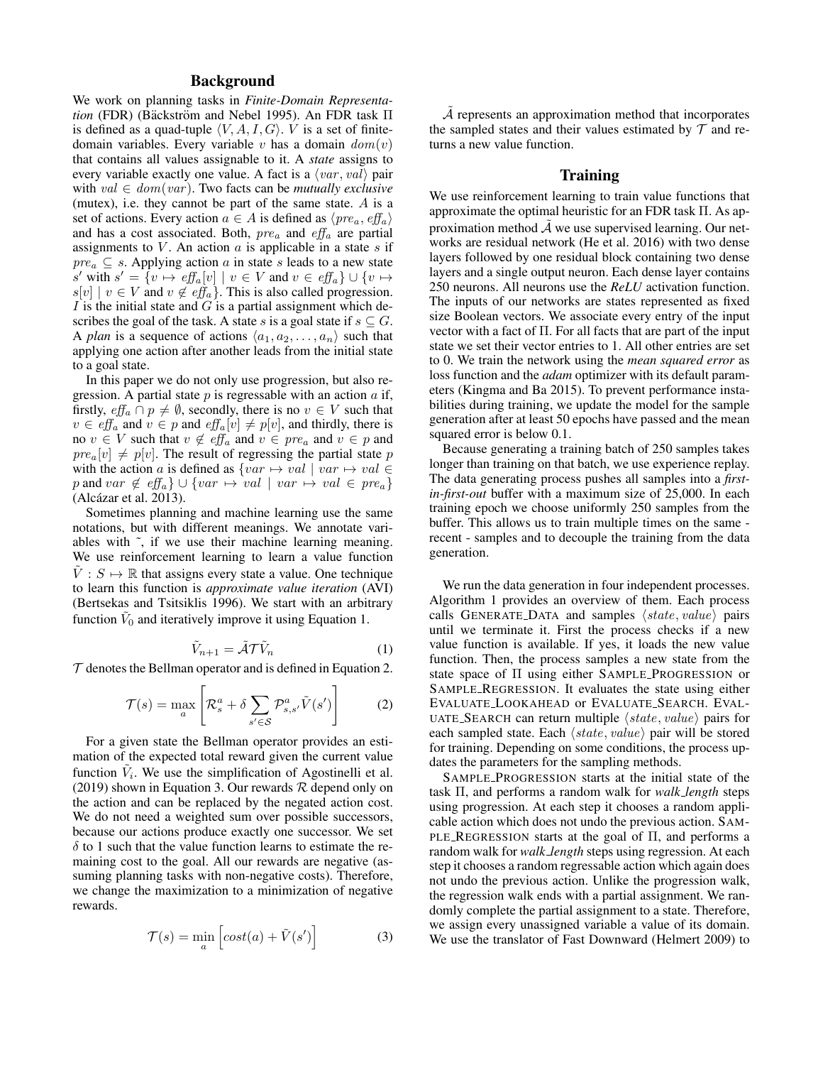# Background

We work on planning tasks in *Finite-Domain Representation* (FDR) (Bäckström and Nebel 1995). An FDR task Π is defined as a quad-tuple  $\langle V, A, I, G \rangle$ . V is a set of finitedomain variables. Every variable v has a domain  $dom(v)$ that contains all values assignable to it. A *state* assigns to every variable exactly one value. A fact is a  $\langle var, val \rangle$  pair with  $val \in dom(var)$ . Two facts can be *mutually exclusive* (mutex), i.e. they cannot be part of the same state. A is a set of actions. Every action  $a \in A$  is defined as  $\langle pre_a, eff_a \rangle$ and has a cost associated. Both,  $pre_a$  and  $eff_a$  are partial assignments to  $V$ . An action  $a$  is applicable in a state  $s$  if  $pre_a \subseteq s$ . Applying action a in state s leads to a new state s' with  $s' = \{v \mapsto eff_a[v] \mid v \in V \text{ and } v \in eff_a\} \cup \{v \mapsto$  $s[v] \mid v \in V$  and  $v \notin \text{eff}_a$ . This is also called progression. I is the initial state and  $G$  is a partial assignment which describes the goal of the task. A state s is a goal state if  $s \subseteq G$ . A *plan* is a sequence of actions  $\langle a_1, a_2, \ldots, a_n \rangle$  such that applying one action after another leads from the initial state to a goal state.

In this paper we do not only use progression, but also regression. A partial state  $p$  is regressable with an action  $a$  if, firstly,  $\text{eff}_a \cap p \neq \emptyset$ , secondly, there is no  $v \in V$  such that  $v \in \text{eff}_a$  and  $v \in p$  and  $\text{eff}_a[v] \neq p[v]$ , and thirdly, there is no  $v \in V$  such that  $v \notin \text{eff}_a$  and  $v \in \text{pre}_a$  and  $v \in p$  and  $pre_a[v] \neq p[v]$ . The result of regressing the partial state p with the action a is defined as  $\{ var \mapsto val \mid var \mapsto val \in$ p and var  $\notin$  eff<sub>a</sub>}  $\cup$  {var  $\mapsto$  val | var  $\mapsto$  val  $\in$  pre<sub>a</sub>} (Alcázar et al. 2013).

Sometimes planning and machine learning use the same notations, but with different meanings. We annotate variables with ˜, if we use their machine learning meaning. We use reinforcement learning to learn a value function  $\tilde{V}: S \mapsto \mathbb{R}$  that assigns every state a value. One technique to learn this function is *approximate value iteration* (AVI) (Bertsekas and Tsitsiklis 1996). We start with an arbitrary function  $\tilde{V}_0$  and iteratively improve it using Equation 1.

$$
\tilde{V}_{n+1} = \tilde{\mathcal{A}} \mathcal{T} \tilde{V}_n \tag{1}
$$

 $\mathcal T$  denotes the Bellman operator and is defined in Equation 2.

$$
\mathcal{T}(s) = \max_{a} \left[ \mathcal{R}_s^a + \delta \sum_{s' \in \mathcal{S}} \mathcal{P}_{s,s'}^a \tilde{V}(s') \right] \tag{2}
$$

For a given state the Bellman operator provides an estimation of the expected total reward given the current value function  $\tilde{V}_i$ . We use the simplification of Agostinelli et al. (2019) shown in Equation 3. Our rewards  $R$  depend only on the action and can be replaced by the negated action cost. We do not need a weighted sum over possible successors, because our actions produce exactly one successor. We set  $\delta$  to 1 such that the value function learns to estimate the remaining cost to the goal. All our rewards are negative (assuming planning tasks with non-negative costs). Therefore, we change the maximization to a minimization of negative rewards.

$$
\mathcal{T}(s) = \min_{a} \left[ cost(a) + \tilde{V}(s') \right] \tag{3}
$$

 $A$  represents an approximation method that incorporates the sampled states and their values estimated by  $\mathcal T$  and returns a new value function.

# **Training**

We use reinforcement learning to train value functions that approximate the optimal heuristic for an FDR task  $\Pi$ . As approximation method  $\tilde{\mathcal{A}}$  we use supervised learning. Our networks are residual network (He et al. 2016) with two dense layers followed by one residual block containing two dense layers and a single output neuron. Each dense layer contains 250 neurons. All neurons use the *ReLU* activation function. The inputs of our networks are states represented as fixed size Boolean vectors. We associate every entry of the input vector with a fact of Π. For all facts that are part of the input state we set their vector entries to 1. All other entries are set to 0. We train the network using the *mean squared error* as loss function and the *adam* optimizer with its default parameters (Kingma and Ba 2015). To prevent performance instabilities during training, we update the model for the sample generation after at least 50 epochs have passed and the mean squared error is below 0.1.

Because generating a training batch of 250 samples takes longer than training on that batch, we use experience replay. The data generating process pushes all samples into a *firstin-first-out* buffer with a maximum size of 25,000. In each training epoch we choose uniformly 250 samples from the buffer. This allows us to train multiple times on the same recent - samples and to decouple the training from the data generation.

We run the data generation in four independent processes. Algorithm 1 provides an overview of them. Each process calls GENERATE\_DATA and samples  $\langle state, value \rangle$  pairs until we terminate it. First the process checks if a new value function is available. If yes, it loads the new value function. Then, the process samples a new state from the state space of Π using either SAMPLE PROGRESSION or SAMPLE REGRESSION. It evaluates the state using either EVALUATE LOOKAHEAD or EVALUATE SEARCH. EVAL-UATE\_SEARCH can return multiple  $\langle state, value \rangle$  pairs for each sampled state. Each  $\langle state, value \rangle$  pair will be stored for training. Depending on some conditions, the process updates the parameters for the sampling methods.

SAMPLE PROGRESSION starts at the initial state of the task Π, and performs a random walk for *walk length* steps using progression. At each step it chooses a random applicable action which does not undo the previous action. SAM-PLE REGRESSION starts at the goal of Π, and performs a random walk for *walk length* steps using regression. At each step it chooses a random regressable action which again does not undo the previous action. Unlike the progression walk, the regression walk ends with a partial assignment. We randomly complete the partial assignment to a state. Therefore, we assign every unassigned variable a value of its domain. We use the translator of Fast Downward (Helmert 2009) to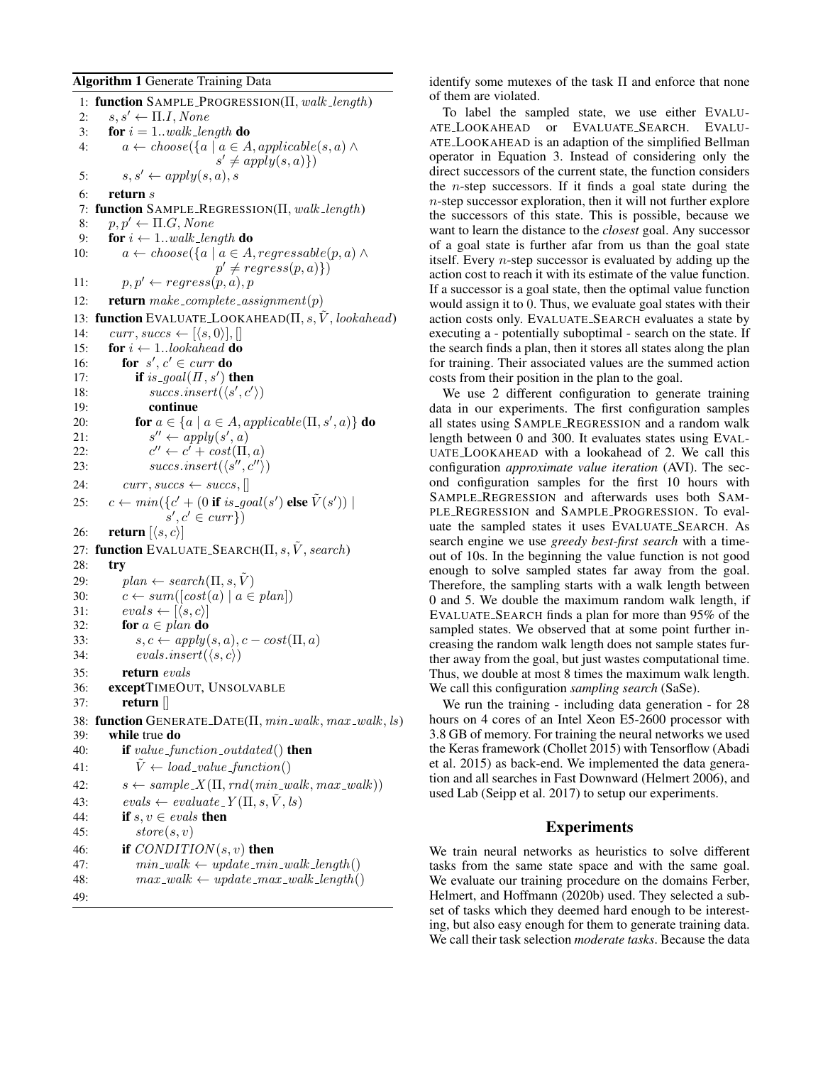#### Algorithm 1 Generate Training Data

1: function SAMPLE PROGRESSION(Π, walk length) 2:  $s, s' \leftarrow \Pi.I, None$ 3: **for**  $i = 1..walk\_length$  **do** 4:  $a \leftarrow choose({a \mid a \in A, applicable(s, a) \land \neg}$  $s' \neq apply(s, a)$ 5:  $s, s' \leftarrow apply(s, a), s$ 6: return s 7: function SAMPLE REGRESSION(Π, walk length) 8:  $p, p' \leftarrow \Pi.G, None$ 9: for  $i \leftarrow 1$ ..walk\_length do 10:  $a \leftarrow choose({a \mid a \in A, regressable(p, a) \land$  $p' \neq regress(p,a)\})$ 11:  $p, p' \leftarrow regress(p, a), p$ 12: **return** make\_complete\_assignment(p) 13: function EVALUATE\_LOOKAHEAD( $\Pi$ , s,  $\tilde{V}$ , lookahead) 14:  $curr, success \leftarrow [\langle s, 0 \rangle], []$ 15: for  $i \leftarrow 1..look ahead$  do 16: **for**  $s', c' \in \text{curr}$  do 17: **if** is\_goal( $\Pi$ , s') **then** 18:  $success.insert(\langle s', c' \rangle)$ 19: continue 20: **for**  $a \in \{a \mid a \in A, applicable(\Pi, s', a)\}$  **do**  $21:$  $^{\prime\prime} \leftarrow apply(s^\prime, a)$  $22:$  $\ell' \leftarrow c' + cost(\Pi, a)$ 23:  $success.insert(\langle s'', c'' \rangle)$ 24:  $curr, success \leftarrow success,$ 25:  $c \leftarrow min(\lbrace c' + (0 \text{ if } is\_goal(s') \text{ else } \tilde{V}(s')) \mid$  $s', c' \in curr\})$ 26: **return**  $\langle s, c \rangle$ 27: function EVALUATE\_SEARCH( $\Pi$ , s,  $\hat{V}$ , search) 28: try 29:  $plan \leftarrow search(\Pi, s, \tilde{V})$ 30:  $c \leftarrow sum([cost(a) \mid a \in plan])$ 31:  $evals \leftarrow [\langle s, c \rangle]$ 32: for  $a \in plan$  do 33:  $s, c \leftarrow apply(s, a), c - cost(\Pi, a)$ 34:  $\text{evals.insert}(\langle s, c \rangle)$ 35: return evals 36: exceptTIMEOUT, UNSOLVABLE 37: return [] 38: function GENERATE\_DATE( $\Pi$ ,  $min\_walk$ ,  $max\_walk$ ,  $ls$ ) 39: while true do 40: **if** value\_function\_outdated() **then** 41:  $V \leftarrow load\_value\_function()$ 42:  $s \leftarrow sample_X(\Pi, rnd(min\_walk, max\_walk))$ 43:  $evals \leftarrow evaluate_Y(\Pi, s, V, ls)$ 44: if  $s, v \in *evals*$  then 45:  $store(s, v)$ 46: if  $CONDITION(s, v)$  then 47:  $min\_walk \leftarrow update\_min\_walk\_length()$ 48:  $max_walk \leftarrow update\_max_walk\_length()$ 49:

identify some mutexes of the task  $\Pi$  and enforce that none of them are violated.

To label the sampled state, we use either EVALU-ATE LOOKAHEAD or EVALUATE SEARCH. EVALU-ATE LOOKAHEAD is an adaption of the simplified Bellman operator in Equation 3. Instead of considering only the direct successors of the current state, the function considers the *n*-step successors. If it finds a goal state during the n-step successor exploration, then it will not further explore the successors of this state. This is possible, because we want to learn the distance to the *closest* goal. Any successor of a goal state is further afar from us than the goal state itself. Every n-step successor is evaluated by adding up the action cost to reach it with its estimate of the value function. If a successor is a goal state, then the optimal value function would assign it to 0. Thus, we evaluate goal states with their action costs only. EVALUATE SEARCH evaluates a state by executing a - potentially suboptimal - search on the state. If the search finds a plan, then it stores all states along the plan for training. Their associated values are the summed action costs from their position in the plan to the goal.

We use 2 different configuration to generate training data in our experiments. The first configuration samples all states using SAMPLE REGRESSION and a random walk length between 0 and 300. It evaluates states using EVAL-UATE LOOKAHEAD with a lookahead of 2. We call this configuration *approximate value iteration* (AVI). The second configuration samples for the first 10 hours with SAMPLE REGRESSION and afterwards uses both SAM-PLE REGRESSION and SAMPLE PROGRESSION. To evaluate the sampled states it uses EVALUATE SEARCH. As search engine we use *greedy best-first search* with a timeout of 10s. In the beginning the value function is not good enough to solve sampled states far away from the goal. Therefore, the sampling starts with a walk length between 0 and 5. We double the maximum random walk length, if EVALUATE SEARCH finds a plan for more than 95% of the sampled states. We observed that at some point further increasing the random walk length does not sample states further away from the goal, but just wastes computational time. Thus, we double at most 8 times the maximum walk length. We call this configuration *sampling search* (SaSe).

We run the training - including data generation - for 28 hours on 4 cores of an Intel Xeon E5-2600 processor with 3.8 GB of memory. For training the neural networks we used the Keras framework (Chollet 2015) with Tensorflow (Abadi et al. 2015) as back-end. We implemented the data generation and all searches in Fast Downward (Helmert 2006), and used Lab (Seipp et al. 2017) to setup our experiments.

# Experiments

We train neural networks as heuristics to solve different tasks from the same state space and with the same goal. We evaluate our training procedure on the domains Ferber, Helmert, and Hoffmann (2020b) used. They selected a subset of tasks which they deemed hard enough to be interesting, but also easy enough for them to generate training data. We call their task selection *moderate tasks*. Because the data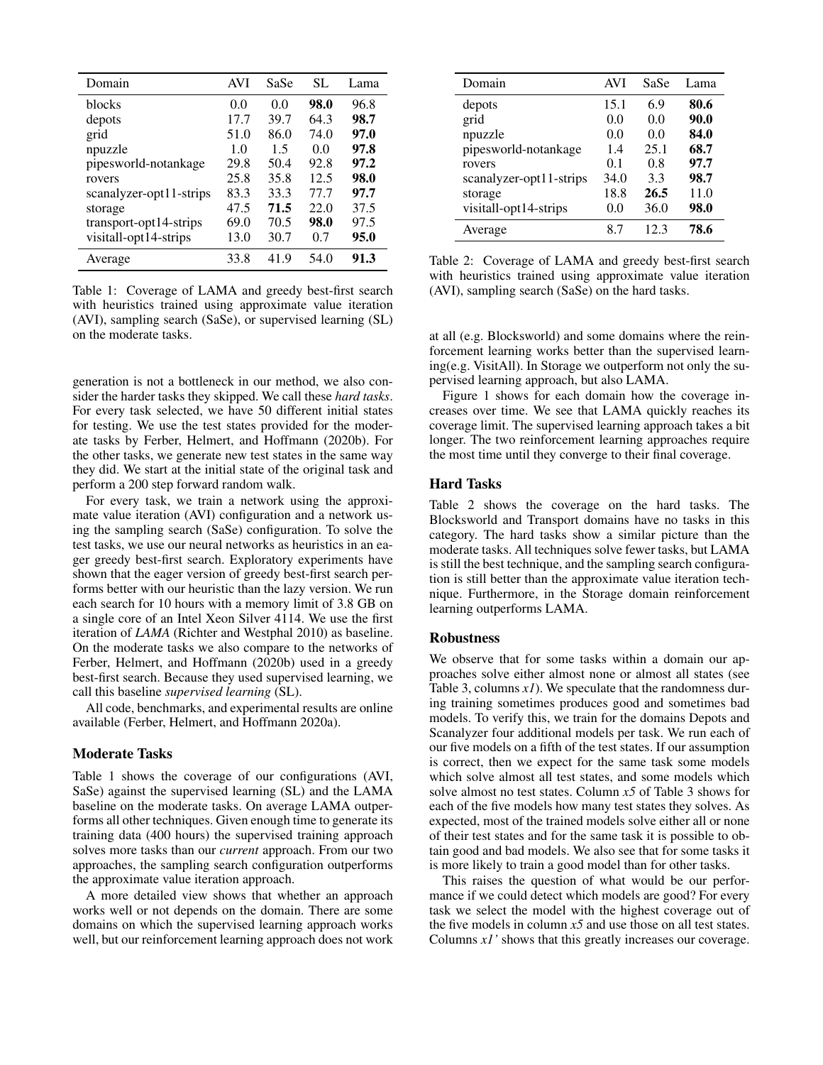| Domain                  | <b>AVI</b> | SaSe | SL.  | Lama |
|-------------------------|------------|------|------|------|
| blocks                  | 0.0        | 0.0  | 98.0 | 96.8 |
| depots                  | 17.7       | 39.7 | 64.3 | 98.7 |
| grid                    | 51.0       | 86.0 | 74.0 | 97.0 |
| npuzzle                 | 1.0        | 1.5  | 0.0  | 97.8 |
| pipesworld-notankage    | 29.8       | 50.4 | 92.8 | 97.2 |
| rovers                  | 25.8       | 35.8 | 12.5 | 98.0 |
| scanalyzer-opt11-strips | 83.3       | 33.3 | 77.7 | 97.7 |
| storage                 | 47.5       | 71.5 | 22.0 | 37.5 |
| transport-opt14-strips  | 69.0       | 70.5 | 98.0 | 97.5 |
| visitall-opt14-strips   | 13.0       | 30.7 | 0.7  | 95.0 |
| Average                 | 33.8       | 41.9 | 54.0 | 91.3 |

Table 1: Coverage of LAMA and greedy best-first search with heuristics trained using approximate value iteration (AVI), sampling search (SaSe), or supervised learning (SL) on the moderate tasks.

generation is not a bottleneck in our method, we also consider the harder tasks they skipped. We call these *hard tasks*. For every task selected, we have 50 different initial states for testing. We use the test states provided for the moderate tasks by Ferber, Helmert, and Hoffmann (2020b). For the other tasks, we generate new test states in the same way they did. We start at the initial state of the original task and perform a 200 step forward random walk.

For every task, we train a network using the approximate value iteration (AVI) configuration and a network using the sampling search (SaSe) configuration. To solve the test tasks, we use our neural networks as heuristics in an eager greedy best-first search. Exploratory experiments have shown that the eager version of greedy best-first search performs better with our heuristic than the lazy version. We run each search for 10 hours with a memory limit of 3.8 GB on a single core of an Intel Xeon Silver 4114. We use the first iteration of *LAMA* (Richter and Westphal 2010) as baseline. On the moderate tasks we also compare to the networks of Ferber, Helmert, and Hoffmann (2020b) used in a greedy best-first search. Because they used supervised learning, we call this baseline *supervised learning* (SL).

All code, benchmarks, and experimental results are online available (Ferber, Helmert, and Hoffmann 2020a).

# Moderate Tasks

Table 1 shows the coverage of our configurations (AVI, SaSe) against the supervised learning (SL) and the LAMA baseline on the moderate tasks. On average LAMA outperforms all other techniques. Given enough time to generate its training data (400 hours) the supervised training approach solves more tasks than our *current* approach. From our two approaches, the sampling search configuration outperforms the approximate value iteration approach.

A more detailed view shows that whether an approach works well or not depends on the domain. There are some domains on which the supervised learning approach works well, but our reinforcement learning approach does not work

| Domain                  | <b>AVI</b> | SaSe | Lama |
|-------------------------|------------|------|------|
| depots                  | 15.1       | 6.9  | 80.6 |
| grid                    | 0.0        | 0.0  | 90.0 |
| npuzzle                 | 0.0        | 0.0  | 84.0 |
| pipesworld-notankage    | 1.4        | 25.1 | 68.7 |
| rovers                  | 01         | 0 8  | 97.7 |
| scanalyzer-opt11-strips | 34.0       | 3.3  | 98.7 |
| storage                 | 18.8       | 26.5 | 11.0 |
| visitall-opt14-strips   | 0.0        | 36.0 | 98.0 |
| Average                 | 8.7        | 12.3 | 78.6 |

Table 2: Coverage of LAMA and greedy best-first search with heuristics trained using approximate value iteration (AVI), sampling search (SaSe) on the hard tasks.

at all (e.g. Blocksworld) and some domains where the reinforcement learning works better than the supervised learning(e.g. VisitAll). In Storage we outperform not only the supervised learning approach, but also LAMA.

Figure 1 shows for each domain how the coverage increases over time. We see that LAMA quickly reaches its coverage limit. The supervised learning approach takes a bit longer. The two reinforcement learning approaches require the most time until they converge to their final coverage.

### Hard Tasks

Table 2 shows the coverage on the hard tasks. The Blocksworld and Transport domains have no tasks in this category. The hard tasks show a similar picture than the moderate tasks. All techniques solve fewer tasks, but LAMA is still the best technique, and the sampling search configuration is still better than the approximate value iteration technique. Furthermore, in the Storage domain reinforcement learning outperforms LAMA.

#### Robustness

We observe that for some tasks within a domain our approaches solve either almost none or almost all states (see Table 3, columns *x1*). We speculate that the randomness during training sometimes produces good and sometimes bad models. To verify this, we train for the domains Depots and Scanalyzer four additional models per task. We run each of our five models on a fifth of the test states. If our assumption is correct, then we expect for the same task some models which solve almost all test states, and some models which solve almost no test states. Column *x5* of Table 3 shows for each of the five models how many test states they solves. As expected, most of the trained models solve either all or none of their test states and for the same task it is possible to obtain good and bad models. We also see that for some tasks it is more likely to train a good model than for other tasks.

This raises the question of what would be our performance if we could detect which models are good? For every task we select the model with the highest coverage out of the five models in column  $x5$  and use those on all test states. Columns *x1'* shows that this greatly increases our coverage.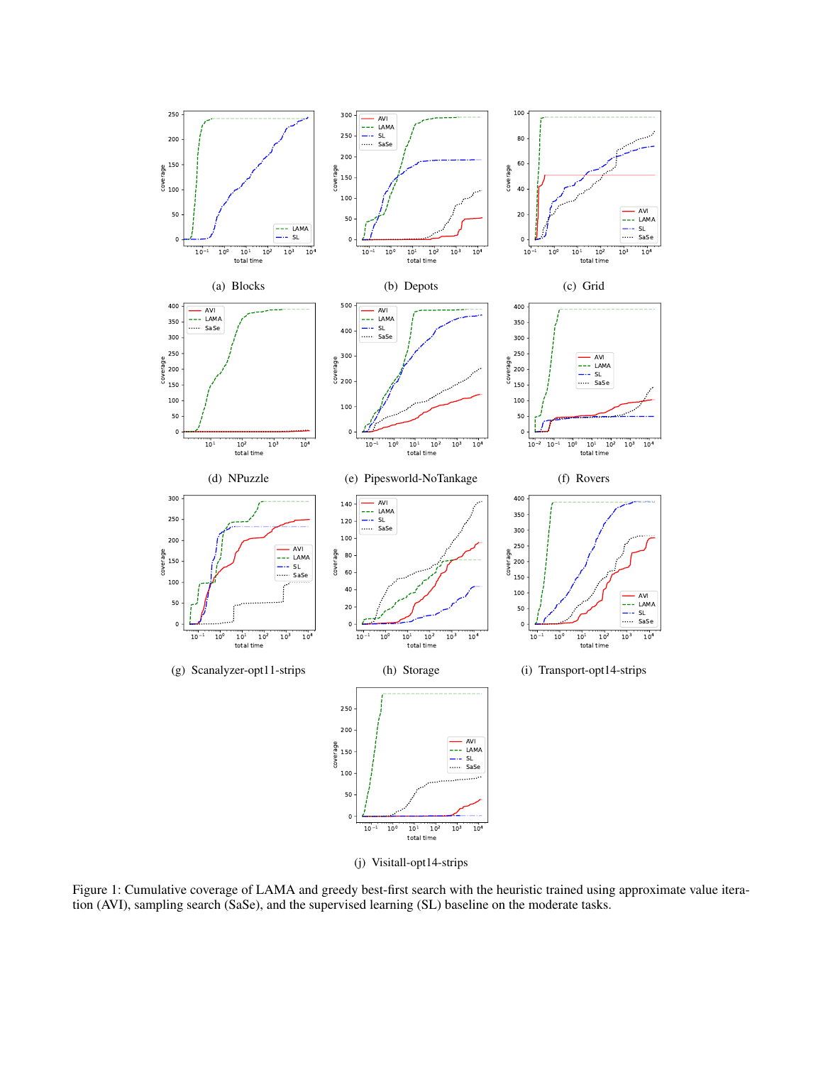

(j) Visitall-opt14-strips

Figure 1: Cumulative coverage of LAMA and greedy best-first search with the heuristic trained using approximate value iteration (AVI), sampling search (SaSe), and the supervised learning (SL) baseline on the moderate tasks.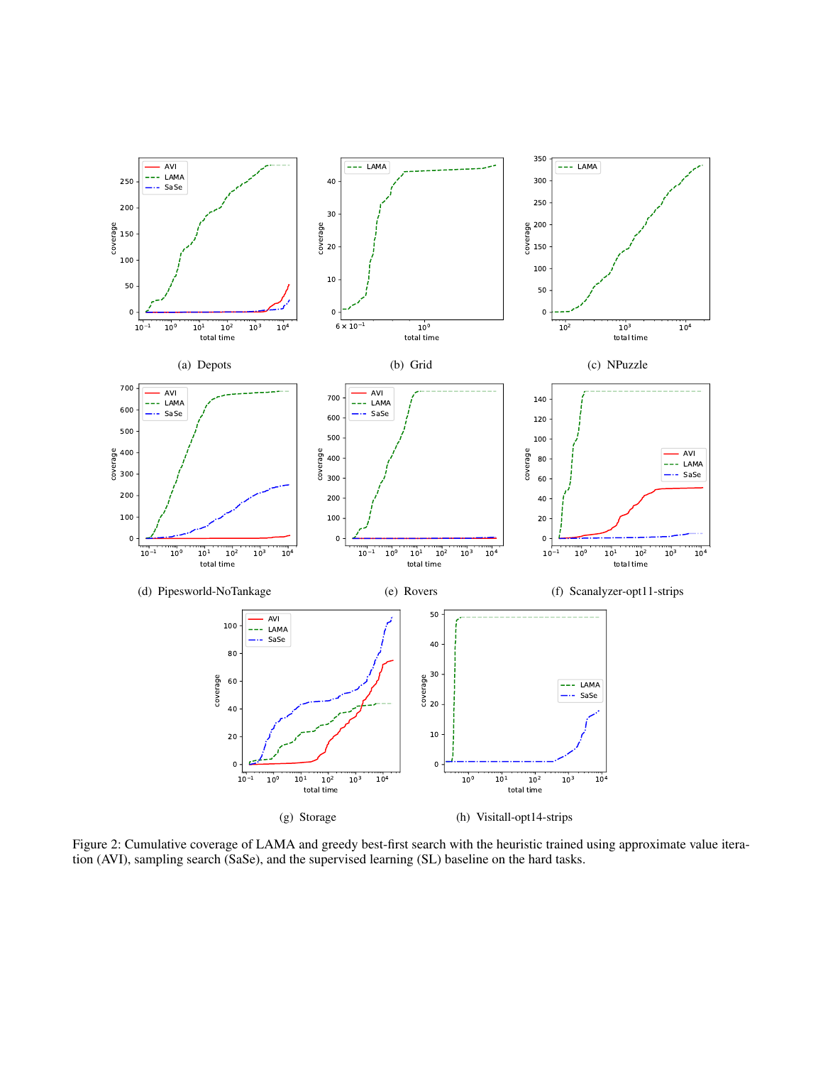

Figure 2: Cumulative coverage of LAMA and greedy best-first search with the heuristic trained using approximate value iteration (AVI), sampling search (SaSe), and the supervised learning (SL) baseline on the hard tasks.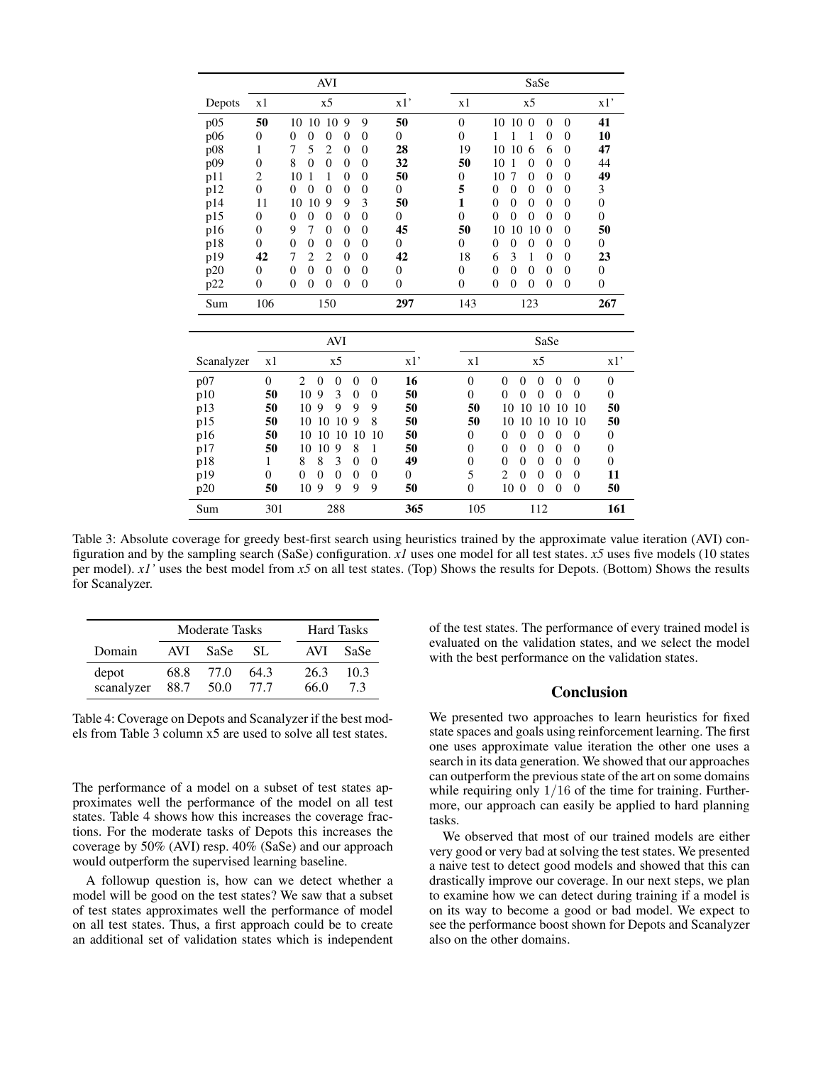|        |              | <b>AVI</b>                                                           |              | SaSe                                                                                                                     |
|--------|--------------|----------------------------------------------------------------------|--------------|--------------------------------------------------------------------------------------------------------------------------|
| Depots | x1           | x5                                                                   | x1'          | x1'<br>x <sub>5</sub><br>x1                                                                                              |
| p05    | 50           | 9<br>9<br>10<br>10<br>10                                             | 50           | $\overline{0}$<br>41<br>10<br>10<br>$\Omega$<br>$\Omega$<br>$\theta$                                                     |
| p06    | $\mathbf{0}$ | $\Omega$<br>0<br>0<br>0<br>$\theta$                                  | $\mathbf{0}$ | $\theta$<br>10<br>$\mathbf{0}$<br>0<br>1                                                                                 |
| p08    | 1            | 5<br>7<br>$\overline{2}$<br>0<br>$\theta$                            | 28           | 19<br>47<br>10<br>10<br>6<br>$\theta$<br>6                                                                               |
| p09    | $\theta$     | 8<br>$\Omega$<br>$\Omega$<br>$\Omega$<br>$\Omega$                    | 32           | 50<br>10<br>44<br>$\theta$<br>0<br>0                                                                                     |
| p11    | 2            | 10<br>$\Omega$<br>$\Omega$                                           | 50           | 49<br>10<br>0<br>$\theta$<br>$\Omega$<br>$\theta$<br>7                                                                   |
| p12    | $\Omega$     | $\Omega$<br>$\Omega$<br>$\Omega$<br>0<br>0                           | $\Omega$     | 5<br>$\theta$<br>3<br>$\theta$<br>$\theta$<br>$\theta$<br>$\Omega$                                                       |
| p14    | 11           | 10<br>9<br>9<br>3<br>10                                              | 50           | 1<br>$\theta$<br>$\theta$<br>$\theta$<br>$\overline{0}$<br>$\Omega$<br>$\Omega$                                          |
| p15    | $\mathbf{0}$ | $\Omega$<br>$\theta$<br>$\theta$<br>$\Omega$<br>0                    | $\mathbf{0}$ | $\overline{0}$<br>$\overline{0}$<br>$\overline{0}$<br>$\theta$<br>$\Omega$<br>$\overline{0}$<br>$\Omega$                 |
| p16    | $\mathbf{0}$ | 7<br>9<br>$\Omega$<br>0<br>$\Omega$                                  | 45           | 50<br>50<br>10<br>$\theta$<br>10<br>10<br>$\Omega$                                                                       |
| p18    | $\Omega$     | $\theta$<br>$\Omega$<br>$\Omega$<br>$\Omega$<br>$\Omega$             | $\Omega$     | $\overline{0}$<br>$\theta$<br>0<br>$\mathbf{0}$<br>$\Omega$<br>$\Omega$<br>0                                             |
| p19    | 42           | $\overline{c}$<br>7<br>$\overline{c}$<br>$\overline{0}$<br>$\Omega$  | 42           | 18<br>6<br>23<br>3<br>1<br>$\theta$<br>$\Omega$                                                                          |
| p20    | $\mathbf{0}$ | $\theta$<br>$\overline{0}$<br>$\Omega$<br>$\overline{0}$<br>$\theta$ | $\mathbf{0}$ | $\overline{0}$<br>$\overline{0}$<br>$\Omega$<br>$\overline{0}$<br>$\theta$<br>$\overline{0}$<br>$\overline{0}$           |
| p22    | $\theta$     | $\overline{0}$<br>$\theta$<br>$\overline{0}$<br>$\overline{0}$<br>0  | 0            | $\overline{0}$<br>$\overline{0}$<br>$\boldsymbol{0}$<br>$\Omega$<br>$\overline{0}$<br>$\overline{0}$<br>$\boldsymbol{0}$ |
| Sum    | 106          | 150                                                                  | 297          | 143<br>267<br>123                                                                                                        |
|        |              | <b>AVT</b>                                                           |              | $C - C$                                                                                                                  |

|            |     | AVI                                                                           |          |          | SaSe                                                                        |          |
|------------|-----|-------------------------------------------------------------------------------|----------|----------|-----------------------------------------------------------------------------|----------|
| Scanalyzer | x1  | x5                                                                            | x1'      | x1       | x5                                                                          | x1'      |
| p07        | 0   | $\mathfrak{D}_{\mathfrak{p}}$<br>$\Omega$<br>$\Omega$<br>$\Omega$<br>$\Omega$ | 16       | $\Omega$ | 0<br>$\Omega$<br>0<br>$\Omega$<br>$\Omega$                                  | 0        |
| p10        | 50  | 9<br>10<br>3<br>$\Omega$<br>$\Omega$                                          | 50       | $\Omega$ | $\Omega$<br>0<br>0<br>0<br>$\Omega$                                         | $\Omega$ |
| p13        | 50  | 9<br>9<br>9<br>10<br>9                                                        | 50       | 50       | 10<br>10<br>10<br>10<br>10                                                  | 50       |
| p15        | 50  | 9<br>8<br>10<br>10<br>10                                                      | 50       | 50       | 10<br>10<br>10<br>10<br>10                                                  | 50       |
| p16        | 50  | 10<br>10<br>10<br>10<br>10                                                    | 50       | $\Omega$ | 0<br>$\Omega$<br>0<br>$\Omega$<br>$\Omega$                                  | 0        |
| p17        | 50  | 10<br>8<br>10<br>9                                                            | 50       | $\Omega$ | 0<br>$\Omega$<br>$\Omega$<br>$\Omega$<br>$\Omega$                           | $\Omega$ |
| p18        |     | 8<br>8<br>3<br>$\Omega$<br>$\Omega$                                           | 49       | $\Omega$ | 0<br>$\Omega$<br>$\Omega$<br>$\Omega$<br>$\Omega$                           | $\Omega$ |
| p19        | 0   | $\Omega$<br>$\Omega$<br>$\Omega$<br>$\Omega$<br>$\Omega$                      | $\Omega$ | 5        | $\mathcal{D}_{\mathcal{L}}$<br>$\Omega$<br>$\Omega$<br>$\Omega$<br>$\Omega$ | 11       |
| p20        | 50  | 9<br>10<br>9<br>9<br>9                                                        | 50       | $\Omega$ | 10<br>$\theta$<br>$\Omega$<br>$\Omega$<br>$\Omega$                          | 50       |
| Sum        | 301 | 288                                                                           | 365      | 105      | 112                                                                         | 161      |

Table 3: Absolute coverage for greedy best-first search using heuristics trained by the approximate value iteration (AVI) configuration and by the sampling search (SaSe) configuration. *x1* uses one model for all test states. *x5* uses five models (10 states per model). *x1'* uses the best model from *x5* on all test states. (Top) Shows the results for Depots. (Bottom) Shows the results for Scanalyzer.

|                     | <b>Moderate Tasks</b> |              |              |              | Hard Tasks |
|---------------------|-----------------------|--------------|--------------|--------------|------------|
| Domain              | AVI.                  | SaSe         | SL.          | AVI          | SaSe       |
| depot<br>scanalyzer | 68.8<br>88.7          | 77.O<br>50.0 | 64.3<br>77.7 | 26.3<br>66.0 | 10.3<br>73 |

Table 4: Coverage on Depots and Scanalyzer if the best models from Table 3 column x5 are used to solve all test states.

The performance of a model on a subset of test states approximates well the performance of the model on all test states. Table 4 shows how this increases the coverage fractions. For the moderate tasks of Depots this increases the coverage by 50% (AVI) resp. 40% (SaSe) and our approach would outperform the supervised learning baseline.

A followup question is, how can we detect whether a model will be good on the test states? We saw that a subset of test states approximates well the performance of model on all test states. Thus, a first approach could be to create an additional set of validation states which is independent

of the test states. The performance of every trained model is evaluated on the validation states, and we select the model with the best performance on the validation states.

## Conclusion

We presented two approaches to learn heuristics for fixed state spaces and goals using reinforcement learning. The first one uses approximate value iteration the other one uses a search in its data generation. We showed that our approaches can outperform the previous state of the art on some domains while requiring only  $1/16$  of the time for training. Furthermore, our approach can easily be applied to hard planning tasks.

We observed that most of our trained models are either very good or very bad at solving the test states. We presented a naive test to detect good models and showed that this can drastically improve our coverage. In our next steps, we plan to examine how we can detect during training if a model is on its way to become a good or bad model. We expect to see the performance boost shown for Depots and Scanalyzer also on the other domains.